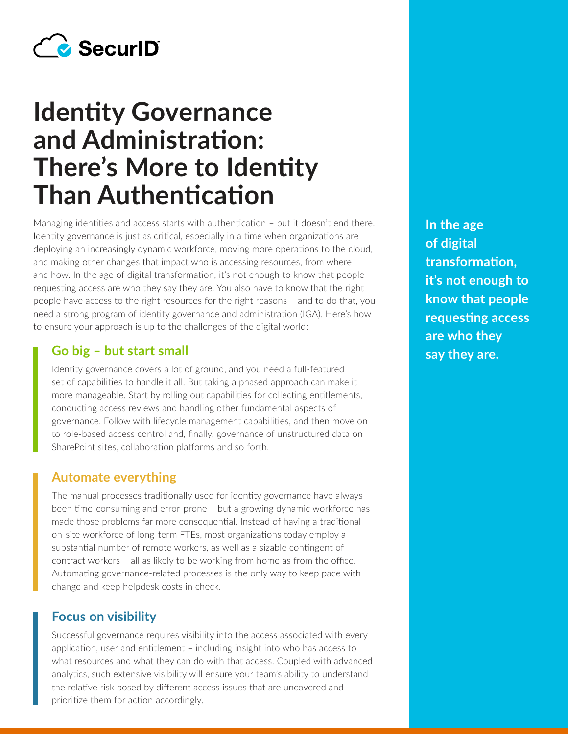

# **Identity Governance and Administration: There's More to Identity Than Authentication**

Managing identities and access starts with authentication – but it doesn't end there. Identity governance is just as critical, especially in a time when organizations are deploying an increasingly dynamic workforce, moving more operations to the cloud, and making other changes that impact who is accessing resources, from where and how. In the age of digital transformation, it's not enough to know that people requesting access are who they say they are. You also have to know that the right people have access to the right resources for the right reasons – and to do that, you need a strong program of identity governance and administration (IGA). Here's how to ensure your approach is up to the challenges of the digital world:

## **Go big – but start small say they are.**

Identity governance covers a lot of ground, and you need a full-featured set of capabilities to handle it all. But taking a phased approach can make it more manageable. Start by rolling out capabilities for collecting entitlements, conducting access reviews and handling other fundamental aspects of governance. Follow with lifecycle management capabilities, and then move on to role-based access control and, finally, governance of unstructured data on SharePoint sites, collaboration platforms and so forth.

#### **Automate everything**

The manual processes traditionally used for identity governance have always been time-consuming and error-prone – but a growing dynamic workforce has made those problems far more consequential. Instead of having a traditional on-site workforce of long-term FTEs, most organizations today employ a substantial number of remote workers, as well as a sizable contingent of contract workers – all as likely to be working from home as from the office. Automating governance-related processes is the only way to keep pace with change and keep helpdesk costs in check.

#### **Focus on visibility**

Successful governance requires visibility into the access associated with every application, user and entitlement – including insight into who has access to what resources and what they can do with that access. Coupled with advanced analytics, such extensive visibility will ensure your team's ability to understand the relative risk posed by different access issues that are uncovered and prioritize them for action accordingly.

**In the age of digital transformation, it's not enough to know that people requesting access are who they**